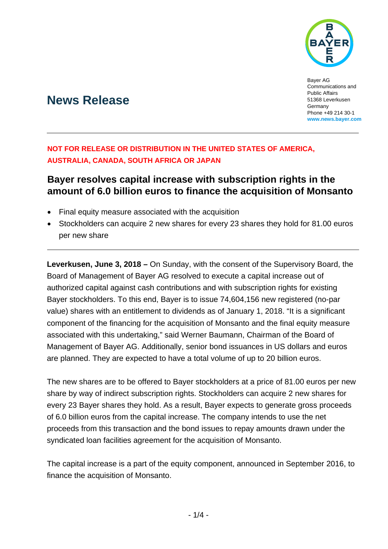

Bayer AG Communications and Public Affairs 51368 Leverkusen **Germany** Phone +49 214 30-1 **www.news.bayer.com**

# **News Release**

## **NOT FOR RELEASE OR DISTRIBUTION IN THE UNITED STATES OF AMERICA, AUSTRALIA, CANADA, SOUTH AFRICA OR JAPAN**

## **Bayer resolves capital increase with subscription rights in the amount of 6.0 billion euros to finance the acquisition of Monsanto**

- Final equity measure associated with the acquisition
- Stockholders can acquire 2 new shares for every 23 shares they hold for 81.00 euros per new share

**Leverkusen, June 3, 2018 –** On Sunday, with the consent of the Supervisory Board, the Board of Management of Bayer AG resolved to execute a capital increase out of authorized capital against cash contributions and with subscription rights for existing Bayer stockholders. To this end, Bayer is to issue 74,604,156 new registered (no-par value) shares with an entitlement to dividends as of January 1, 2018. "It is a significant component of the financing for the acquisition of Monsanto and the final equity measure associated with this undertaking," said Werner Baumann, Chairman of the Board of Management of Bayer AG. Additionally, senior bond issuances in US dollars and euros are planned. They are expected to have a total volume of up to 20 billion euros.

The new shares are to be offered to Bayer stockholders at a price of 81.00 euros per new share by way of indirect subscription rights. Stockholders can acquire 2 new shares for every 23 Bayer shares they hold. As a result, Bayer expects to generate gross proceeds of 6.0 billion euros from the capital increase. The company intends to use the net proceeds from this transaction and the bond issues to repay amounts drawn under the syndicated loan facilities agreement for the acquisition of Monsanto.

The capital increase is a part of the equity component, announced in September 2016, to finance the acquisition of Monsanto.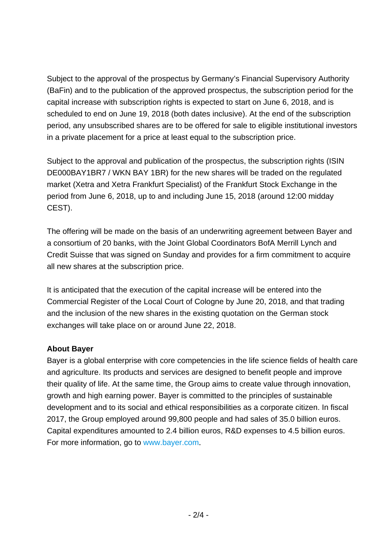Subject to the approval of the prospectus by Germany's Financial Supervisory Authority (BaFin) and to the publication of the approved prospectus, the subscription period for the capital increase with subscription rights is expected to start on June 6, 2018, and is scheduled to end on June 19, 2018 (both dates inclusive). At the end of the subscription period, any unsubscribed shares are to be offered for sale to eligible institutional investors in a private placement for a price at least equal to the subscription price.

Subject to the approval and publication of the prospectus, the subscription rights (ISIN DE000BAY1BR7 / WKN BAY 1BR) for the new shares will be traded on the regulated market (Xetra and Xetra Frankfurt Specialist) of the Frankfurt Stock Exchange in the period from June 6, 2018, up to and including June 15, 2018 (around 12:00 midday CEST).

The offering will be made on the basis of an underwriting agreement between Bayer and a consortium of 20 banks, with the Joint Global Coordinators BofA Merrill Lynch and Credit Suisse that was signed on Sunday and provides for a firm commitment to acquire all new shares at the subscription price.

It is anticipated that the execution of the capital increase will be entered into the Commercial Register of the Local Court of Cologne by June 20, 2018, and that trading and the inclusion of the new shares in the existing quotation on the German stock exchanges will take place on or around June 22, 2018.

## **About Bayer**

Bayer is a global enterprise with core competencies in the life science fields of health care and agriculture. Its products and services are designed to benefit people and improve their quality of life. At the same time, the Group aims to create value through innovation, growth and high earning power. Bayer is committed to the principles of sustainable development and to its social and ethical responsibilities as a corporate citizen. In fiscal 2017, the Group employed around 99,800 people and had sales of 35.0 billion euros. Capital expenditures amounted to 2.4 billion euros, R&D expenses to 4.5 billion euros. For more information, go to www.bayer.com.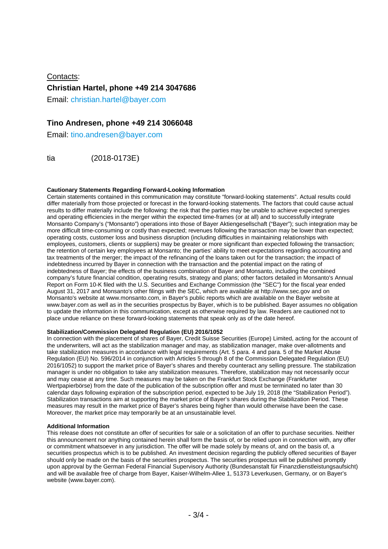Contacts: **Christian Hartel, phone +49 214 3047686**  Email: christian.hartel@bayer.com

## **Tino Andresen, phone +49 214 3066048**

Email: tino.andresen@bayer.com

tia (2018-0173E)

### **Cautionary Statements Regarding Forward-Looking Information**

Certain statements contained in this communication may constitute "forward-looking statements". Actual results could differ materially from those projected or forecast in the forward-looking statements. The factors that could cause actual results to differ materially include the following: the risk that the parties may be unable to achieve expected synergies and operating efficiencies in the merger within the expected time-frames (or at all) and to successfully integrate Monsanto Company's ("Monsanto") operations into those of Bayer Aktiengesellschaft ("Bayer"); such integration may be more difficult time-consuming or costly than expected; revenues following the transaction may be lower than expected; operating costs, customer loss and business disruption (including difficulties in maintaining relationships with employees, customers, clients or suppliers) may be greater or more significant than expected following the transaction; the retention of certain key employees at Monsanto; the parties' ability to meet expectations regarding accounting and tax treatments of the merger; the impact of the refinancing of the loans taken out for the transaction; the impact of indebtedness incurred by Bayer in connection with the transaction and the potential impact on the rating of indebtedness of Bayer; the effects of the business combination of Bayer and Monsanto, including the combined company's future financial condition, operating results, strategy and plans; other factors detailed in Monsanto's Annual Report on Form 10-K filed with the U.S. Securities and Exchange Commission (the "SEC") for the fiscal year ended August 31, 2017 and Monsanto's other filings with the SEC, which are available at http://www.sec.gov and on Monsanto's website at www.monsanto.com, in Bayer's public reports which are available on the Bayer website at www.bayer.com as well as in the securities prospectus by Bayer, which is to be published. Bayer assumes no obligation to update the information in this communication, except as otherwise required by law. Readers are cautioned not to place undue reliance on these forward-looking statements that speak only as of the date hereof.

### **Stabilization/Commission Delegated Regulation (EU) 2016/1052**

In connection with the placement of shares of Bayer, Credit Suisse Securities (Europe) Limited, acting for the account of the underwriters, will act as the stabilization manager and may, as stabilization manager, make over-allotments and take stabilization measures in accordance with legal requirements (Art. 5 para. 4 and para. 5 of the Market Abuse Regulation (EU) No. 596/2014 in conjunction with Articles 5 through 8 of the Commission Delegated Regulation (EU) 2016/1052) to support the market price of Bayer's shares and thereby counteract any selling pressure. The stabilization manager is under no obligation to take any stabilization measures. Therefore, stabilization may not necessarily occur and may cease at any time. Such measures may be taken on the Frankfurt Stock Exchange (Frankfurter Wertpapierbörse) from the date of the publication of the subscription offer and must be terminated no later than 30 calendar days following expiration of the subscription period, expected to be July 19, 2018 (the "Stabilization Period"). Stabilization transactions aim at supporting the market price of Bayer's shares during the Stabilization Period. These measures may result in the market price of Bayer's shares being higher than would otherwise have been the case. Moreover, the market price may temporarily be at an unsustainable level.

#### **Additional Information**

This release does not constitute an offer of securities for sale or a solicitation of an offer to purchase securities. Neither this announcement nor anything contained herein shall form the basis of, or be relied upon in connection with, any offer or commitment whatsoever in any jurisdiction. The offer will be made solely by means of, and on the basis of, a securities prospectus which is to be published. An investment decision regarding the publicly offered securities of Bayer should only be made on the basis of the securities prospectus. The securities prospectus will be published promptly upon approval by the German Federal Financial Supervisory Authority (Bundesanstalt für Finanzdienstleistungsaufsicht) and will be available free of charge from Bayer, Kaiser-Wilhelm-Allee 1, 51373 Leverkusen, Germany, or on Bayer's website (www.bayer.com).